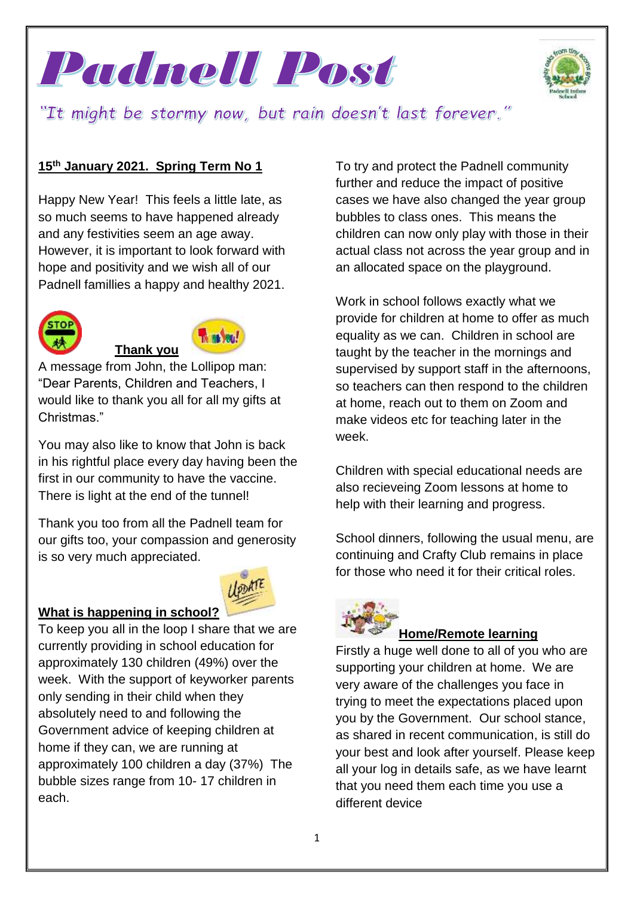



"It might be stormy now, but rain doesn't last forever."

### **15th January 2021. Spring Term No 1**

Happy New Year! This feels a little late, as so much seems to have happened already and any festivities seem an age away. However, it is important to look forward with hope and positivity and we wish all of our Padnell famillies a happy and healthy 2021.



#### **TA TEL 100 Thank you**

A message from John, the Lollipop man: "Dear Parents, Children and Teachers, I would like to thank you all for all my gifts at Christmas."

You may also like to know that John is back in his rightful place every day having been the first in our community to have the vaccine. There is light at the end of the tunnel!

Thank you too from all the Padnell team for our gifts too, your compassion and generosity is so very much appreciated.



#### **What is happening in school?**

To keep you all in the loop I share that we are currently providing in school education for approximately 130 children (49%) over the week. With the support of keyworker parents only sending in their child when they absolutely need to and following the Government advice of keeping children at home if they can, we are running at approximately 100 children a day (37%) The bubble sizes range from 10- 17 children in each.

To try and protect the Padnell community further and reduce the impact of positive cases we have also changed the year group bubbles to class ones. This means the children can now only play with those in their actual class not across the year group and in an allocated space on the playground.

Work in school follows exactly what we provide for children at home to offer as much equality as we can. Children in school are taught by the teacher in the mornings and supervised by support staff in the afternoons, so teachers can then respond to the children at home, reach out to them on Zoom and make videos etc for teaching later in the week.

Children with special educational needs are also recieveing Zoom lessons at home to help with their learning and progress.

School dinners, following the usual menu, are continuing and Crafty Club remains in place for those who need it for their critical roles.



# **[H](https://www.bing.com/images/search?view=detailV2&ccid=Jf4Mx4GH&id=C87EE0940AE1565A7D77BC371A616AB49FD7F643&thid=OIP.Jf4Mx4GHg_Uns8mh8gPqywHaER&mediaurl=https://www.hobokencatholic.org/sites/default/files/77-777105_learning-cilpart-luxury-inspiration-kids-learning-math-clipart.png.jpeg&exph=473&expw=820&q=Remote+Learning+Children+Clip+Art&simid=608017586932287299&ck=67CC0D4CF1D8C998A658C60D8D6C0247&selectedIndex=0&FORM=IRPRST)ome/Remote learning**

Firstly a huge well done to all of you who are supporting your children at home. We are very aware of the challenges you face in trying to meet the expectations placed upon you by the Government. Our school stance, as shared in recent communication, is still do your best and look after yourself. Please keep all your log in details safe, as we have learnt that you need them each time you use a different device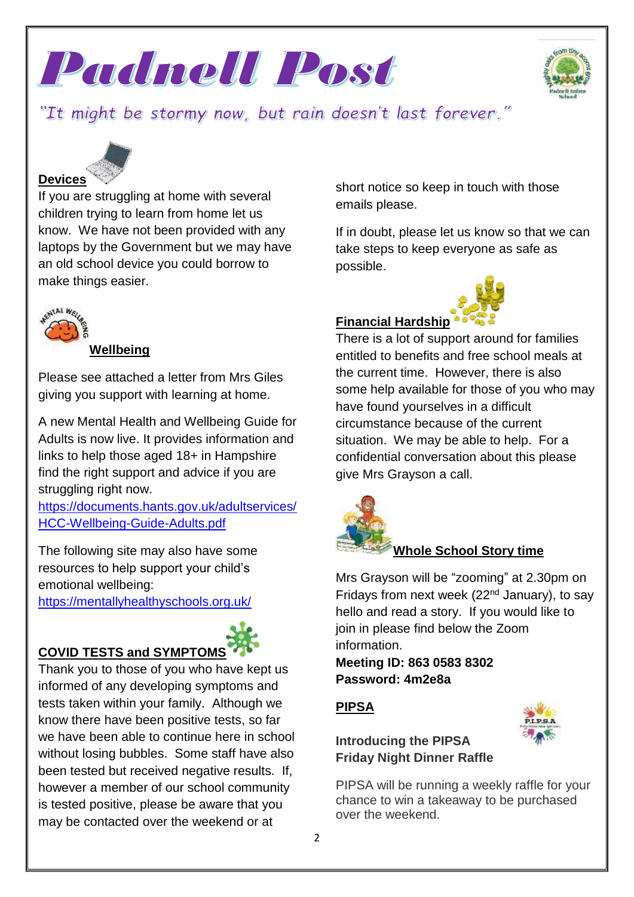



# "It might be stormy now, but rain doesn't last forever."

# **Devices**

If you are struggling at home with several children trying to learn from home let us know. We have not been provided with any laptops by the Government but we may have an old school device you could borrow to make things easier.



#### **Wellbeing**

Please see attached a letter from Mrs Giles giving you support with learning at home.

A new Mental Health and Wellbeing Guide for Adults is now live. It provides information and links to help those aged 18+ in Hampshire find the right support and advice if you are struggling right now.

[https://documents.hants.gov.uk/adultservices/](https://documents.hants.gov.uk/adultservices/HCC-Wellbeing-Guide-Adults.pdf) [HCC-Wellbeing-Guide-Adults.pdf](https://documents.hants.gov.uk/adultservices/HCC-Wellbeing-Guide-Adults.pdf)

The following site may also have some resources to help support your child's emotional wellbeing:

<https://mentallyhealthyschools.org.uk/>

# **COVID TESTS and SYMPTOMS**



Thank you to those of you who have kept us informed of any developing symptoms and tests taken within your family. Although we know there have been positive tests, so far we have been able to continue here in school without losing bubbles. Some staff have also been tested but received negative results. If, however a member of our school community is tested positive, please be aware that you may be contacted over the weekend or at

short notice so keep in touch with those emails please.

If in doubt, please let us know so that we can take steps to keep everyone as safe as possible.



#### **Financial Hardship**

There is a lot of support around for families entitled to benefits and free school meals at the current time. However, there is also some help available for those of you who may have found yourselves in a difficult circumstance because of the current situation. We may be able to help. For a confidential conversation about this please give Mrs Grayson a call.



#### **Whole School Story time**

Mrs Grayson will be "zooming" at 2.30pm on Fridays from next week (22<sup>nd</sup> January), to say hello and read a story. If you would like to join in please find below the Zoom information.

**Meeting ID: 863 0583 8302 Password: 4m2e8a**

# **PIPSA**

**Introducing the PIPSA Friday Night Dinner Raffle**



PIPSA will be running a weekly raffle for your chance to win a takeaway to be purchased over the weekend.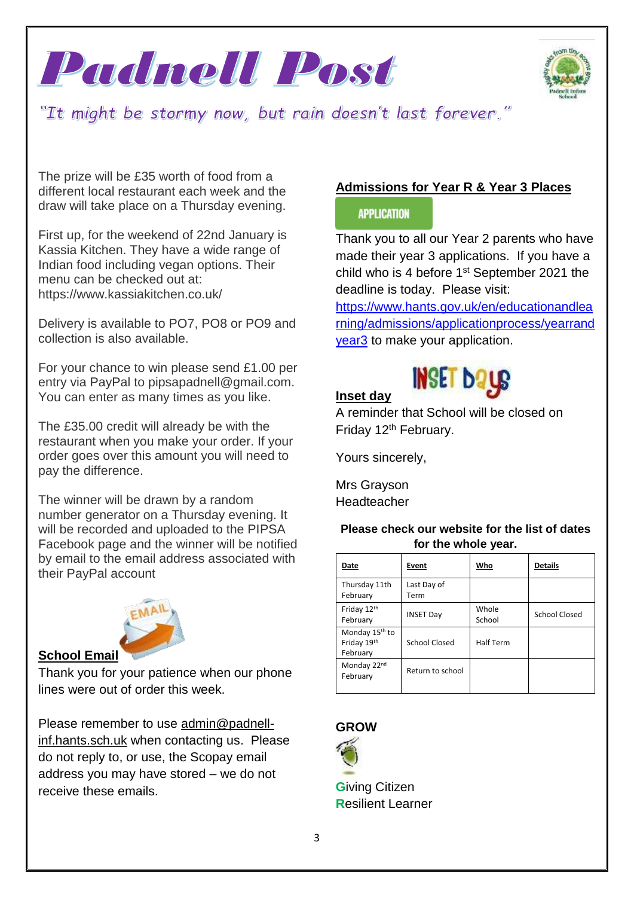



"It might be stormy now, but rain doesn't last forever."

The prize will be £35 worth of food from a different local restaurant each week and the draw will take place on a Thursday evening.

First up, for the weekend of 22nd January is Kassia Kitchen. They have a wide range of Indian food including vegan options. Their menu can be checked out at: https://www.kassiakitchen.co.uk/

Delivery is available to PO7, PO8 or PO9 and collection is also available.

For your chance to win please send £1.00 per entry via PayPal to pipsapadnell@gmail.com. You can enter as many times as you like.

The £35.00 credit will already be with the restaurant when you make your order. If your order goes over this amount you will need to pay the difference.

The winner will be drawn by a random number generator on a Thursday evening. It will be recorded and uploaded to the PIPSA Facebook page and the winner will be notified by email to the email address associated with their PayPal account



#### **School Email**

Thank you for your patience when our phone lines were out of order this week.

Please remember to use [admin@padnell](mailto:admin@padnell-inf.hants.sch.uk)[inf.hants.sch.uk](mailto:admin@padnell-inf.hants.sch.uk) when contacting us. Please do not reply to, or use, the Scopay email address you may have stored – we do not receive these emails.

# **Admissions for Year R & Year 3 Places**

#### **APPLICATION**

Thank you to all our Year 2 parents who have made their year 3 applications. If you have a child who is 4 before 1<sup>st</sup> September 2021 the deadline is today. Please visit:

[https://www.hants.gov.uk/en/educationandlea](https://www.hants.gov.uk/en/educationandlearning/admissions/applicationprocess/yearrandyear3) [rning/admissions/applicationprocess/yearrand](https://www.hants.gov.uk/en/educationandlearning/admissions/applicationprocess/yearrandyear3) [year3](https://www.hants.gov.uk/en/educationandlearning/admissions/applicationprocess/yearrandyear3) to make your application.

# **INSET DATE**

A reminder that School will be closed on Friday 12<sup>th</sup> February.

Yours sincerely,

Mrs Grayson Headteacher

**Inset day**

**Please check our website for the list of dates for the whole year.**

| Date                                                  | Event               | Who              | <b>Details</b> |
|-------------------------------------------------------|---------------------|------------------|----------------|
| Thursday 11th<br>February                             | Last Day of<br>Term |                  |                |
| Friday 12th<br>February                               | <b>INSET Day</b>    | Whole<br>School  | School Closed  |
| Monday 15 <sup>th</sup> to<br>Friday 19th<br>February | School Closed       | <b>Half Term</b> |                |
| Monday 22nd<br>February                               | Return to school    |                  |                |

# **GROW**



**G**iving Citizen **R**esilient Learner